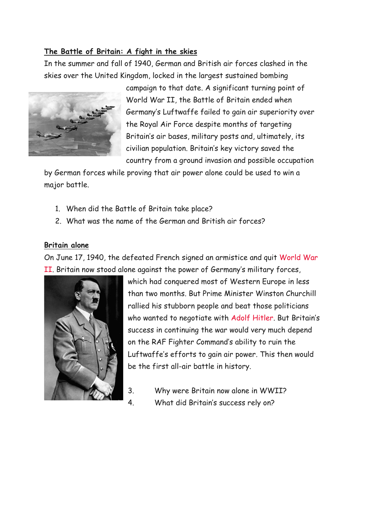## **The Battle of Britain: A fight in the skies**

In the summer and fall of 1940, German and British air forces clashed in the skies over the United Kingdom, locked in the largest sustained bombing



campaign to that date. A significant turning point of World War II, the Battle of Britain ended when Germany's Luftwaffe failed to gain air superiority over the Royal Air Force despite months of targeting Britain's air bases, military posts and, ultimately, its civilian population. Britain's key victory saved the country from a ground invasion and possible occupation

by German forces while proving that air power alone could be used to win a major battle.

- 1. When did the Battle of Britain take place?
- 2. What was the name of the German and British air forces?

## **Britain alone**

On June 17, 1940, the defeated French signed an armistice and quit [World War](https://www.history.com/topics/world-war-ii)  [II](https://www.history.com/topics/world-war-ii). Britain now stood alone against the power of Germany's military forces,



which had conquered most of Western Europe in less than two months. But Prime Minister Winston Churchill rallied his stubborn people and beat those politicians who wanted to negotiate with [Adolf Hitler](https://www.history.com/topics/world-war-ii/adolf-hitler). But Britain's success in continuing the war would very much depend on the RAF Fighter Command's ability to ruin the Luftwaffe's efforts to gain air power. This then would be the first all-air battle in history.

- 3. Why were Britain now alone in WWII?
- 4. What did Britain's success rely on?